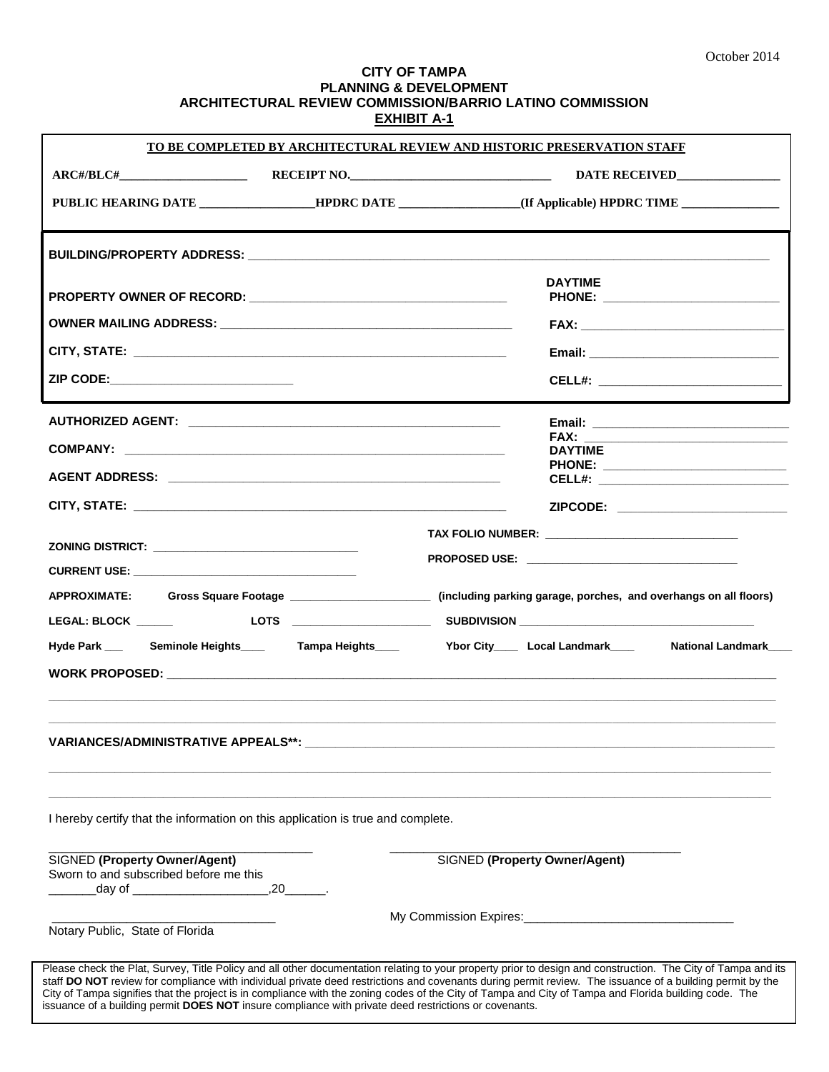## **CITY OF TAMPA PLANNING & DEVELOPMENT ARCHITECTURAL REVIEW COMMISSION/BARRIO LATINO COMMISSION EXHIBIT A-1**

| <u>TO BE COMPLETED BY ARCHITECTURAL REVIEW AND HISTORIC PRESERVATION STAFF</u>                                                                                                                                                                                                                                                                                                                                                                                                                                                                                                               |  |                                                                                                                           |  |  |
|----------------------------------------------------------------------------------------------------------------------------------------------------------------------------------------------------------------------------------------------------------------------------------------------------------------------------------------------------------------------------------------------------------------------------------------------------------------------------------------------------------------------------------------------------------------------------------------------|--|---------------------------------------------------------------------------------------------------------------------------|--|--|
|                                                                                                                                                                                                                                                                                                                                                                                                                                                                                                                                                                                              |  |                                                                                                                           |  |  |
|                                                                                                                                                                                                                                                                                                                                                                                                                                                                                                                                                                                              |  | PUBLIC HEARING DATE ___________________HPDRC DATE __________________(If Applicable) HPDRC TIME _______________            |  |  |
|                                                                                                                                                                                                                                                                                                                                                                                                                                                                                                                                                                                              |  |                                                                                                                           |  |  |
|                                                                                                                                                                                                                                                                                                                                                                                                                                                                                                                                                                                              |  | <b>DAYTIME</b>                                                                                                            |  |  |
|                                                                                                                                                                                                                                                                                                                                                                                                                                                                                                                                                                                              |  |                                                                                                                           |  |  |
|                                                                                                                                                                                                                                                                                                                                                                                                                                                                                                                                                                                              |  |                                                                                                                           |  |  |
| ZIP CODE:_____________________________                                                                                                                                                                                                                                                                                                                                                                                                                                                                                                                                                       |  | CELL#: _________________________________                                                                                  |  |  |
|                                                                                                                                                                                                                                                                                                                                                                                                                                                                                                                                                                                              |  |                                                                                                                           |  |  |
|                                                                                                                                                                                                                                                                                                                                                                                                                                                                                                                                                                                              |  | <b>DAYTIME</b>                                                                                                            |  |  |
|                                                                                                                                                                                                                                                                                                                                                                                                                                                                                                                                                                                              |  | PHONE: ______________________________                                                                                     |  |  |
|                                                                                                                                                                                                                                                                                                                                                                                                                                                                                                                                                                                              |  | ZIPCODE: _________________________                                                                                        |  |  |
|                                                                                                                                                                                                                                                                                                                                                                                                                                                                                                                                                                                              |  |                                                                                                                           |  |  |
| CURRENT USE: New York State State State State State State State State State State State State State State State State State State State State State State State State State State State State State State State State State St                                                                                                                                                                                                                                                                                                                                                               |  | PROPOSED USE: New York Proposed USE:                                                                                      |  |  |
|                                                                                                                                                                                                                                                                                                                                                                                                                                                                                                                                                                                              |  | APPROXIMATE: Gross Square Footage ______________________ (including parking garage, porches, and overhangs on all floors) |  |  |
| Hyde Park ___ Seminole Heights____ Tampa Heights____                                                                                                                                                                                                                                                                                                                                                                                                                                                                                                                                         |  | Ybor City_____ Local Landmark_____ National Landmark_                                                                     |  |  |
| <b>VARIANCES/ADMINISTRATIVE APPEALS**:</b>                                                                                                                                                                                                                                                                                                                                                                                                                                                                                                                                                   |  |                                                                                                                           |  |  |
| I hereby certify that the information on this application is true and complete.                                                                                                                                                                                                                                                                                                                                                                                                                                                                                                              |  |                                                                                                                           |  |  |
| SIGNED (Property Owner/Agent)<br>Sworn to and subscribed before me this<br>.20<br>_day of ________________________                                                                                                                                                                                                                                                                                                                                                                                                                                                                           |  | SIGNED (Property Owner/Agent)                                                                                             |  |  |
| Notary Public, State of Florida                                                                                                                                                                                                                                                                                                                                                                                                                                                                                                                                                              |  | My Commission Expires: Management Commission Expires:                                                                     |  |  |
| Please check the Plat, Survey, Title Policy and all other documentation relating to your property prior to design and construction. The City of Tampa and its<br>staff DO NOT review for compliance with individual private deed restrictions and covenants during permit review. The issuance of a building permit by the<br>City of Tampa signifies that the project is in compliance with the zoning codes of the City of Tampa and City of Tampa and Florida building code. The<br>issuance of a building permit DOES NOT insure compliance with private deed restrictions or covenants. |  |                                                                                                                           |  |  |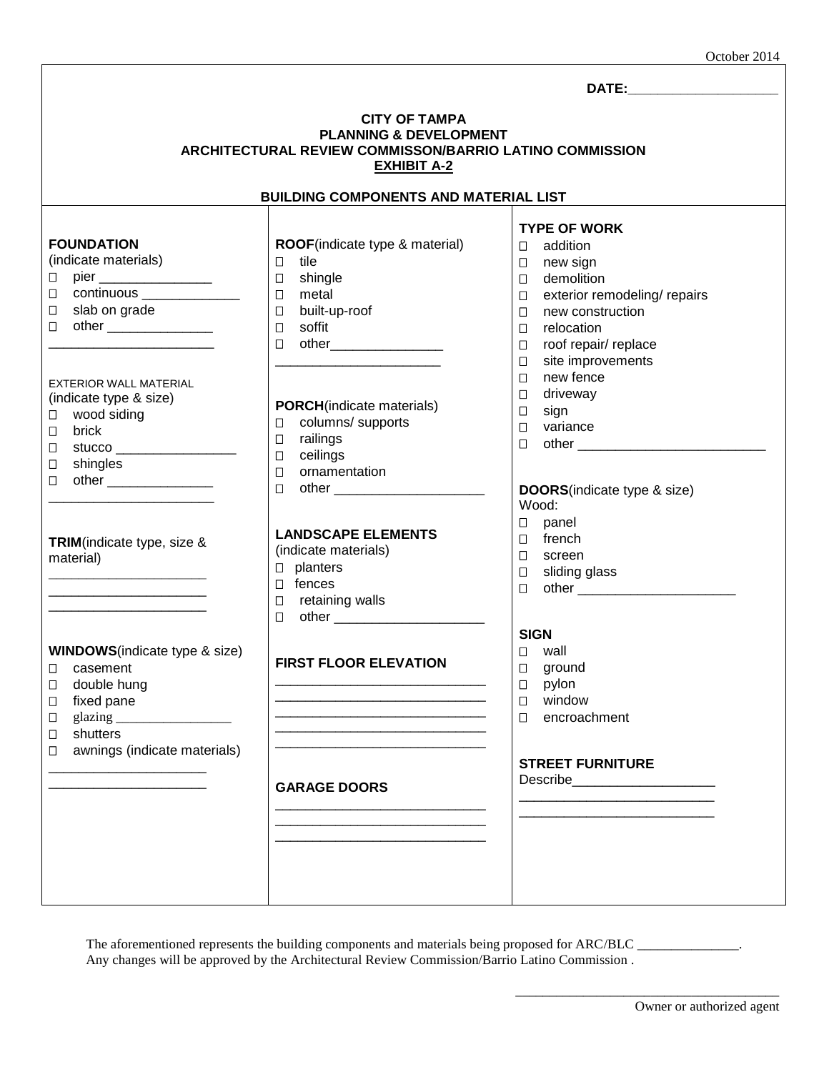|  |  | October 2014 |
|--|--|--------------|
|--|--|--------------|

| <b>CITY OF TAMPA</b><br><b>PLANNING &amp; DEVELOPMENT</b><br>ARCHITECTURAL REVIEW COMMISSON/BARRIO LATINO COMMISSION<br><b>EXHIBIT A-2</b>                                                                                                                                                                                                                                                                                                      |                                                                                                                                                                                                                                                                                                                                                                                                                                                                                |                                                                                                                                                                                                                                                                                                                                                                                                                                                                                                                                                                                                                                                                      |  |  |  |
|-------------------------------------------------------------------------------------------------------------------------------------------------------------------------------------------------------------------------------------------------------------------------------------------------------------------------------------------------------------------------------------------------------------------------------------------------|--------------------------------------------------------------------------------------------------------------------------------------------------------------------------------------------------------------------------------------------------------------------------------------------------------------------------------------------------------------------------------------------------------------------------------------------------------------------------------|----------------------------------------------------------------------------------------------------------------------------------------------------------------------------------------------------------------------------------------------------------------------------------------------------------------------------------------------------------------------------------------------------------------------------------------------------------------------------------------------------------------------------------------------------------------------------------------------------------------------------------------------------------------------|--|--|--|
| <b>BUILDING COMPONENTS AND MATERIAL LIST</b>                                                                                                                                                                                                                                                                                                                                                                                                    |                                                                                                                                                                                                                                                                                                                                                                                                                                                                                |                                                                                                                                                                                                                                                                                                                                                                                                                                                                                                                                                                                                                                                                      |  |  |  |
| <b>FOUNDATION</b><br>(indicate materials)<br>$\Box$<br>$\Box$<br>slab on grade<br>□<br>□<br><b>EXTERIOR WALL MATERIAL</b><br>(indicate type & size)<br>wood siding<br>$\Box$<br>brick<br>$\Box$<br>□<br>shingles<br>$\Box$<br>□<br>TRIM(indicate type, size &<br>material)<br><b>WINDOWS</b> (indicate type & size)<br>□ casement<br>double hung<br>□<br>fixed pane<br>□<br>glazing_<br>□<br>shutters<br>□<br>awnings (indicate materials)<br>□ | ROOF(indicate type & material)<br>tile<br>$\Box$<br>□ shingle<br>metal<br>$\Box$<br>built-up-roof<br>$\Box$<br>soffit<br>$\Box$<br>$\Box$<br><b>PORCH</b> (indicate materials)<br>columns/ supports<br>$\Box$<br>railings<br>$\Box$<br>ceilings<br>$\Box$<br>ornamentation<br>$\Box$<br>$\Box$<br><b>LANDSCAPE ELEMENTS</b><br>(indicate materials)<br>$\square$ planters<br>$\Box$ fences<br>$\square$ retaining walls<br><b>FIRST FLOOR ELEVATION</b><br><b>GARAGE DOORS</b> | <b>TYPE OF WORK</b><br>addition<br>$\Box$<br>new sign<br>◧<br>demolition<br>$\Box$<br>exterior remodeling/ repairs<br>$\Box$<br>new construction<br>$\Box$<br>relocation<br>$\Box$<br>roof repair/ replace<br>$\Box$<br>site improvements<br>$\Box$<br>new fence<br>$\Box$<br>driveway<br>□<br>sign<br>$\Box$<br>variance<br>$\Box$<br>$\Box$<br><b>DOORS</b> (indicate type & size)<br>Wood:<br>panel<br>$\Box$<br>french<br>$\Box$<br>$\Box$<br>screen<br>sliding glass<br>$\Box$<br>$\Box$<br><b>SIGN</b><br>wall<br>□<br>$\Box$<br>ground<br>pylon<br>□<br>window<br>□<br>encroachment<br>$\Box$<br><b>STREET FURNITURE</b><br>Describe_________________________ |  |  |  |
|                                                                                                                                                                                                                                                                                                                                                                                                                                                 |                                                                                                                                                                                                                                                                                                                                                                                                                                                                                |                                                                                                                                                                                                                                                                                                                                                                                                                                                                                                                                                                                                                                                                      |  |  |  |

The aforementioned represents the building components and materials being proposed for ARC/BLC \_ Any changes will be approved by the Architectural Review Commission/Barrio Latino Commission .

\_\_\_\_\_\_\_\_\_\_\_\_\_\_\_\_\_\_\_\_\_\_\_\_\_\_\_\_\_\_\_\_\_\_\_\_\_\_\_